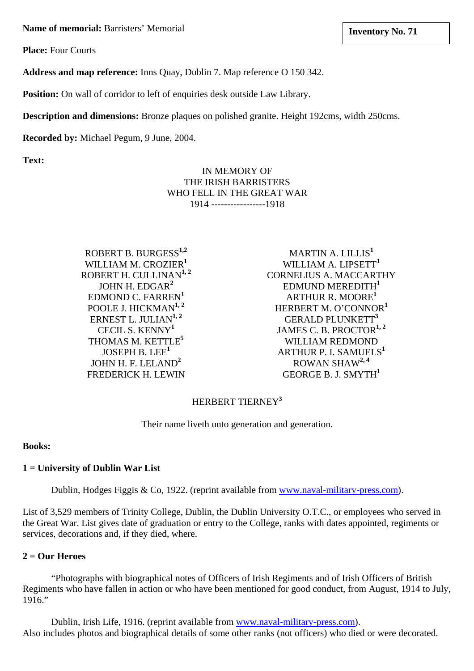**Name of memorial:** Barristers' Memorial **and Serverse 2018 later 10. 11 later 10. 71 later 10. 71** 

**Place:** Four Courts

**Address and map reference:** Inns Quay, Dublin 7. Map reference O 150 342.

**Position:** On wall of corridor to left of enquiries desk outside Law Library.

**Description and dimensions:** Bronze plaques on polished granite. Height 192cms, width 250cms.

**Recorded by:** Michael Pegum, 9 June, 2004.

**Text:**

IN MEMORY OF THE IRISH BARRISTERS WHO FELL IN THE GREAT WAR 1914 -----------------1918

ROBERT B. BURGESS**1,2** WILLIAM M. CROZIER**<sup>1</sup>** ROBERT H. CULLINAN**1, 2** JOHN H. EDGAR**<sup>2</sup>** EDMOND C. FARREN**<sup>1</sup>** POOLE J. HICKMAN**1, 2** ERNEST L. JULIAN**1, 2** CECIL S. KENNY**<sup>1</sup>** THOMAS M. KETTLE**<sup>5</sup>** JOSEPH B. LEE**<sup>1</sup>** JOHN H. F. LELAND**<sup>2</sup>** FREDERICK H. LEWIN

MARTIN A. LILLIS**<sup>1</sup>** WILLIAM A. LIPSETT**<sup>1</sup>** CORNELIUS A. MACCARTHY EDMUND MEREDITH**<sup>1</sup>** ARTHUR R. MOORE**<sup>1</sup>** HERBERT M. O'CONNOR**<sup>1</sup>** GERALD PLUNKETT**<sup>3</sup>** JAMES C. B. PROCTOR<sup>1,2</sup> WILLIAM REDMOND ARTHUR P. I. SAMUELS**<sup>1</sup>** ROWAN SHAW**2, 4** GEORGE B. J. SMYTH**<sup>1</sup>**

# HERBERT TIERNEY**<sup>3</sup>**

Their name liveth unto generation and generation.

**Books:** 

### **1 = University of Dublin War List**

Dublin, Hodges Figgis & Co, 1922. (reprint available from [www.naval-military-press.com\)](http://www.naval-military-press.com/).

List of 3,529 members of Trinity College, Dublin, the Dublin University O.T.C., or employees who served in the Great War. List gives date of graduation or entry to the College, ranks with dates appointed, regiments or services, decorations and, if they died, where.

### **2 = Our Heroes**

"Photographs with biographical notes of Officers of Irish Regiments and of Irish Officers of British Regiments who have fallen in action or who have been mentioned for good conduct, from August, 1914 to July,  $1916$ "

Dublin, Irish Life, 1916. (reprint available from [www.naval-military-press.com\)](http://www.naval-military-press.com/). Also includes photos and biographical details of some other ranks (not officers) who died or were decorated.